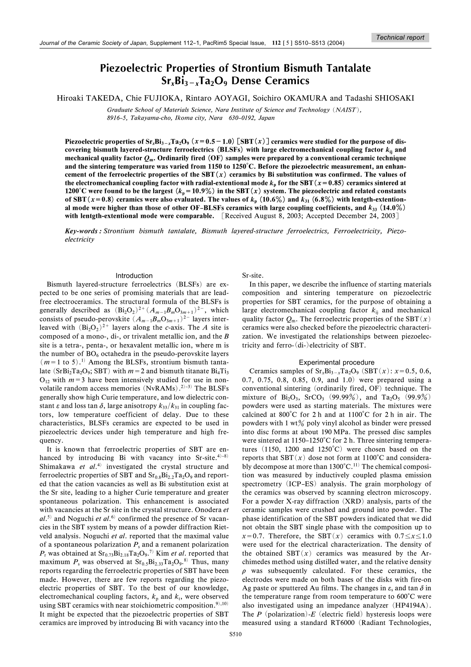# **Piezoelectric Properties of Strontium Bismuth Tantalate**  $Sr_xBi_{3-x}Ta_2O_9$  Dense Ceramics

Hiroaki TAKEDA, Chie FUJIOKA, Rintaro AOYAGI, Soichiro OKAMURA and Tadashi SHIOSAKI

Graduate School of Materials Science, Nara Institute of Science and Technology (NAIST). 8916-5, Takayama-cho, Ikoma city, Nara 630-0192, Japan

Piezoelectric properties of  $Sr_xBi_{3-x}Ta_2O_9$  ( $x=0.5-1.0$ ) [SBT( $x$ )] ceramics were studied for the purpose of discovering bismuth layered-structure ferroelectrics (BLSFs) with large electromechanical coupling factor  $k_{ij}$  and mechanical quality factor  $Q_m$ . Ordinarily fired (OF) samples were prepared by a conventional ceramic technique and the sintering temperature was varied from 1150 to 1250°C. Before the piezoelectric measurement, an enhancement of the ferroelectric properties of the SBT $(x)$  ceramics by Bi substitution was confirmed. The values of the electromechanical coupling factor with radial-extentional mode  $k_p$  for the SBT ( $x = 0.85$ ) ceramics sintered at 1200°C were found to be the largest  $(k_p = 10.9\%)$  in the SBT  $(x)$  system. The piezoelectric and related constants of SBT ( $x=0.8$ ) ceramics were also evaluated. The values of  $k_p$  (10.6%) and  $k_{31}$  (6.8%) with lentgth-extentional mode were higher than those of other OF-BLSFs ceramics with large coupling coefficients, and  $k_{33}$  (14.0%) with lentgth-extentional mode were comparable. [Received August 8, 2003; Accepted December 24, 2003]

Key-words: Strontium bismuth tantalate, Bismuth layered-structure ferroelectrics, Ferroelectricity, Piezoelectricity

## Introduction

Bismuth layered-structure ferroelectrics (BLSFs) are expected to be one series of promising materials that are leadfree electroceramics. The structural formula of the BLSFs is generally described as  $(Bi_2O_2)^{2+}(A_{m-1}B_mO_{3m+1})^{2-}$ , which<br>consists of pseudo-perovskite  $(A_{m-1}B_mO_{3m+1})^{2-}$  layers interleaved with  $(Bi_2O_2)^{2+}$  layers along the c-axis. The A site is composed of a mono-, di-, or trivalent metallic ion, and the  $B$ site is a tetra-, penta-, or hexavalent metallic ion, where m is the number of  $BO<sub>6</sub>$  octahedra in the pseudo-perovskite lavers  $(m=1 \text{ to } 5).^{1}$  Among the BLSFs, strontium bismuth tantalate (SrBi<sub>2</sub>Ta<sub>2</sub>O<sub>9</sub>; SBT) with  $m = 2$  and bismuth titanate Bi<sub>4</sub>Ti<sub>3</sub>  $O_{12}$  with  $m=3$  have been intensively studied for use in nonvolatile random access memories  $(NvRAMs)$ .<sup>2)-3)</sup> The BLSFs generally show high Curie temperature, and low dielectric constant  $\varepsilon$  and loss tan  $\delta$ , large anisotropy  $k_{33}/k_{31}$  in coupling factors, low temperature coefficient of delay. Due to these characteristics, BLSFs ceramics are expected to be used in piezoelectric devices under high temperature and high frequency.

It is known that ferroelectric properties of SBT are enhanced by introducing Bi with vacancy into Sr-site.<sup>4)-8)</sup> Shimakawa et  $al^{(4)}$  investigated the crystal structure and ferroelectric properties of SBT and  $Sr<sub>0.8</sub>Bi<sub>2.2</sub>Ta<sub>2</sub>O<sub>9</sub>$  and reported that the cation vacancies as well as Bi substitution exist at the Sr site, leading to a higher Curie temperature and greater spontaneous polarization. This enhancement is associated with vacancies at the Sr site in the crystal structure. Onodera et  $al.^{5}$  and Noguchi et  $al.^{6}$  confirmed the presence of Sr vacancies in the SBT system by means of a powder diffraction Rietveld analysis. Noguchi et al. reported that the maximal value of a spontaneous polarization  $P_s$  and a remanent polarization  $P_r$  was obtained at  $Sr_0$ <sub>73</sub>Bi<sub>2.18</sub>Ta<sub>2</sub>O<sub>9</sub>.<sup>7)</sup> Kim *et al*. reported that maximum  $P_s$  was observed at  $Sr_{0.5}Bi_{2.33}Ta_2O_9$ .<sup>8)</sup> Thus, many reports regarding the ferroelectric properties of SBT have been made. However, there are few reports regarding the piezoelectric properties of SBT. To the best of our knowledge, electromechanical coupling factors,  $k_p$  and  $k_t$ , were observed using SBT ceramics with near stoichiometric composition.<sup>9),10)</sup> It might be expected that the piezoelectric properties of SBT ceramics are improved by introducing Bi with vacancy into the Sr-site.

In this paper, we describe the influence of starting materials composition and sintering temperature on piezoelectric properties for SBT ceramics, for the purpose of obtaining a large electromechanical coupling factor  $k_{ii}$  and mechanical quality factor  $Q_m$ . The ferroelectric properties of the SBT $(x)$ ceramics were also checked before the piezoelectric characterization. We investigated the relationships between piezoelectricity and ferro-(di-)electricity of SBT.

### Experimental procedure

Ceramics samples of  $Sr_xBi_{3-x}Ta_2O_9$  (SBT(x):  $x=0.5$ , 0.6, 0.7, 0.75, 0.8, 0.85, 0.9, and 1.0) were prepared using a conventional sintering (ordinarily fired, OF) technique. The mixture of Bi<sub>2</sub>O<sub>3</sub>, SrCO<sub>3</sub> (99.99%), and Ta<sub>2</sub>O<sub>5</sub> (99.9%) powders were used as starting materials. The mixtures were calcined at 800°C for 2 h and at 1100°C for 2 h in air. The powders with 1  $wt\%$  poly vinyl alcohol as binder were pressed into disc forms at about 190 MPa. The pressed disc samples were sintered at 1150-1250°C for 2 h. Three sintering temperatures (1150, 1200 and  $1250^{\circ}$ C) were chosen based on the reports that SBT( $x$ ) dose not form at 1100°C and considerably decompose at more than  $1300^{\circ}$ C.<sup>11)</sup> The chemical composition was measured by inductively coupled plasma emission spectrometry (ICP-ES) analysis. The grain morphology of the ceramics was observed by scanning electron microscopy. For a powder X-ray diffraction (XRD) analysis, parts of the ceramic samples were crushed and ground into powder. The phase identification of the SBT powders indicated that we did not obtain the SBT single phase with the composition up to  $x=0.7$ . Therefore, the SBT(x) ceramics with  $0.7 \le x \le 1.0$ were used for the electrical characterization. The density of the obtained SBT $(x)$  ceramics was measured by the Archimedes method using distilled water, and the relative density  $\rho$  was subsequently calculated. For these ceramics, the electrodes were made on both bases of the disks with fire-on Ag paste or sputtered Au films. The changes in  $\varepsilon_s$  and tan  $\delta$  in the temperature range from room temperature to 600°C were also investigated using an impedance analyzer (HP4194A). The  $P$  (polarization)- $E$  (electric field) hysteresis loops were measured using a standard RT6000 (Radiant Technologies,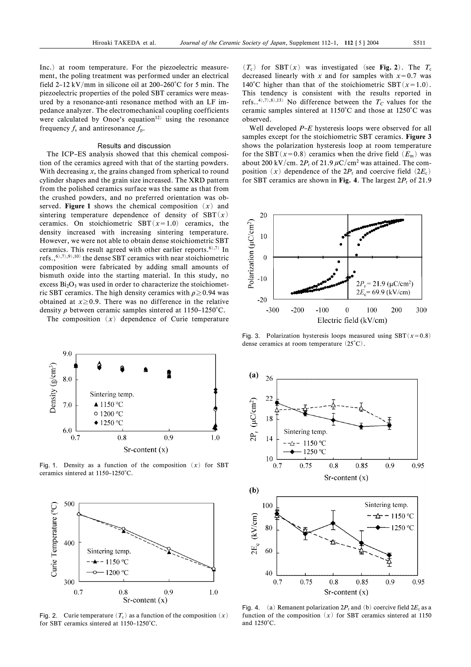Inc.) at room temperature. For the piezoelectric measurement, the poling treatment was performed under an electrical field 2-12 kV/mm in silicone oil at 200-260 $^{\circ}$ C for 5 min. The piezoelectric properties of the poled SBT ceramics were measured by a resonance-anti resonance method with an LF impedance analyzer. The electromechanical coupling coefficients were calculated by Onoe's equation<sup>12)</sup> using the resonance frequency  $f_s$  and antiresonance  $f_p$ .

## Results and discussion

The ICP-ES analysis showed that this chemical composition of the ceramics agreed with that of the starting powders. With decreasing  $x$ , the grains changed from spherical to round cylinder shapes and the grain size increased. The XRD pattern from the polished ceramics surface was the same as that from the crushed powders, and no preferred orientation was observed. Figure 1 shows the chemical composition  $(x)$  and sintering temperature dependence of density of  $SBT(x)$ ceramics. On stoichiometric SBT $(x=1.0)$  ceramics, the density increased with increasing sintering temperature. However, we were not able to obtain dense stoichiometric SBT ceramics. This result agreed with other earlier reports.<sup>6),7)</sup> In refs.,  $^{(6)}$ ,  $^{(7)}$ ,  $^{(9)}$ ,  $^{(10)}$  the dense SBT ceramics with near stoichiometric composition were fabricated by adding small amounts of bismuth oxide into the starting material. In this study, no excess  $Bi<sub>2</sub>O<sub>3</sub>$  was used in order to characterize the stoichiometric SBT ceramics. The high density ceramics with  $\rho \ge 0.94$  was obtained at  $x \ge 0.9$ . There was no difference in the relative density  $\rho$  between ceramic samples sintered at 1150–1250°C.

The composition  $(x)$  dependence of Curie temperature



Fig. 1. Density as a function of the composition  $(x)$  for SBT ceramics sintered at 1150-1250°C.



Fig. 2. Curie temperature  $(T_c)$  as a function of the composition  $(x)$ for SBT ceramics sintered at 1150-1250°C.

 $(T_c)$  for SBT $(x)$  was investigated (see Fig. 2). The  $T_c$ decreased linearly with x and for samples with  $x=0.7$  was 140°C higher than that of the stoichiometric SBT( $x=1.0$ ). This tendency is consistent with the results reported in refs..<sup>4),7),8),13)</sup> No difference between the  $T_c$  values for the ceramic samples sintered at 1150°C and those at 1250°C was observed.

Well developed  $P-E$  hysteresis loops were observed for all samples except for the stoichiometric SBT ceramics. Figure 3 shows the polarization hysteresis loop at room temperature for the SBT( $x=0.8$ ) ceramics when the drive field ( $E<sub>m</sub>$ ) was about 200 kV/cm,  $2P_r$  of 21.9  $\mu$ C/cm<sup>2</sup> was attained. The composition  $(x)$  dependence of the  $2P_r$  and coercive field  $(2E_c)$ for SBT ceramics are shown in Fig. 4. The largest  $2P_r$  of 21.9



Fig. 3. Polarization hysteresis loops measured using SBT $(x=0.8)$ dense ceramics at room temperature  $(25^{\circ}C)$ .



Fig. 4. (a) Remanent polarization  $2P_r$  and (b) coercive field  $2E_c$  as a function of the composition  $(x)$  for SBT ceramics sintered at 1150 and 1250°C.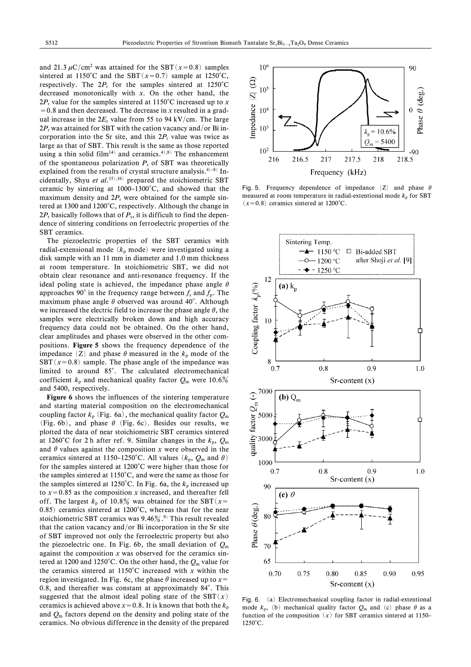and 21.3  $\mu$ C/cm<sup>2</sup> was attained for the SBT(x=0.8) samples sintered at 1150°C and the SBT  $(x=0.7)$  sample at 1250°C, respectively. The  $2P_r$  for the samples sintered at 1250°C decreased monotonically with  $x$ . On the other hand, the  $2P_r$  value for the samples sintered at 1150°C increased up to x  $= 0.8$  and then decreased. The decrease in x resulted in a gradual increase in the  $2E_c$  value from 55 to 94 kV/cm. The large  $2P_r$  was attained for SBT with the cation vacancy and/or Bi incorporation into the Sr site, and this  $2P_r$  value was twice as large as that of SBT. This result is the same as those reported using a thin solid film<sup>14)</sup> and ceramics.<sup>4),8)</sup> The enhancement of the spontaneous polarization  $P_s$  of SBT was theoretically explained from the results of crystal structure analysis.<sup>4)-8)</sup> Incidentally. Shyu et  $al$ , <sup>15), 16</sup> prepared the stoichiometric SBT ceramic by sintering at 1000–1300°C, and showed that the maximum density and  $2P_r$  were obtained for the sample sintered at 1300 and 1200°C, respectively. Although the change in  $2P_r$  basically follows that of  $P_s$ , it is difficult to find the dependence of sintering conditions on ferroelectric properties of the SBT ceramics.

The piezoelectric properties of the SBT ceramics with radial-extensional mode  $(k_p \text{ mode})$  were investigated using a disk sample with an 11 mm in diameter and 1.0 mm thickness at room temperature. In stoichiometric SBT, we did not obtain clear resonance and anti-resonance frequency. If the ideal poling state is achieved, the impedance phase angle  $\theta$ approaches 90° in the frequency range between  $f_s$  and  $f_p$ . The maximum phase angle  $\theta$  observed was around 40°. Although we increased the electric field to increase the phase angle  $\theta$ , the samples were electrically broken down and high accuracy frequency data could not be obtained. On the other hand, clear amplitudes and phases were observed in the other compositions. Figure 5 shows the frequency dependence of the impedance | Z | and phase  $\theta$  measured in the  $k_p$  mode of the SBT  $(x=0.8)$  sample. The phase angle of the impedance was limited to around 85°. The calculated electromechanical coefficient  $k_p$  and mechanical quality factor  $Q_m$  were 10.6% and 5400, respectively.

Figure 6 shows the influences of the sintering temperature and starting material composition on the electromechanical coupling factor  $k_p$  (Fig. 6a), the mechanical quality factor  $Q_m$ (Fig. 6b), and phase  $\theta$  (Fig. 6c). Besides our results, we plotted the data of near stoichiometric SBT ceramics sintered at 1260°C for 2 h after ref. 9. Similar changes in the  $k_p$ ,  $Q_m$ and  $\theta$  values against the composition x were observed in the ceramics sintered at 1150–1250°C. All values  $(k_n, Q_m$  and  $\theta)$ for the samples sintered at 1200°C were higher than those for the samples sintered at 1150°C, and were the same as those for the samples sintered at 1250°C. In Fig. 6a, the  $k_p$  increased up to  $x=0.85$  as the composition x increased, and thereafter fell off. The largest  $k_p$  of 10.8% was obtained for the SBT (x=  $(0.85)$  ceramics sintered at 1200°C, whereas that for the near stoichiometric SBT ceramics was  $9.46\%$ .<sup>9)</sup> This result revealed that the cation vacancy and/or Bi incorporation in the Sr site of SBT improved not only the ferroelectric property but also the piezoelectric one. In Fig. 6b, the small deviation of  $Q_m$ against the composition  $x$  was observed for the ceramics sintered at 1200 and 1250°C. On the other hand, the  $Q_m$  value for the ceramics sintered at  $1150^{\circ}$ C increased with x within the region investigated. In Fig. 6c, the phase  $\theta$  increased up to  $x=$ 0.8, and thereafter was constant at approximately 84°. This suggested that the almost ideal poling state of the SBT $(x)$ ceramics is achieved above  $x = 0.8$ . It is known that both the  $k<sub>n</sub>$ and  $Q_m$  factors depend on the density and poling state of the ceramics. No obvious difference in the density of the prepared



Fig. 5. Frequency dependence of impedance  $|Z|$  and phase  $\theta$ measured at room temperature in radial-extentional mode  $k_p$  for SBT  $(x=0.8)$  ceramics sintered at 1200°C.



Fig. 6. (a) Electromechanical coupling factor in radial-extentional mode  $k_n$ , (b) mechanical quality factor  $Q_m$  and (c) phase  $\theta$  as a function of the composition  $(x)$  for SBT ceramics sintered at 1150- $1250^{\circ}$ C.